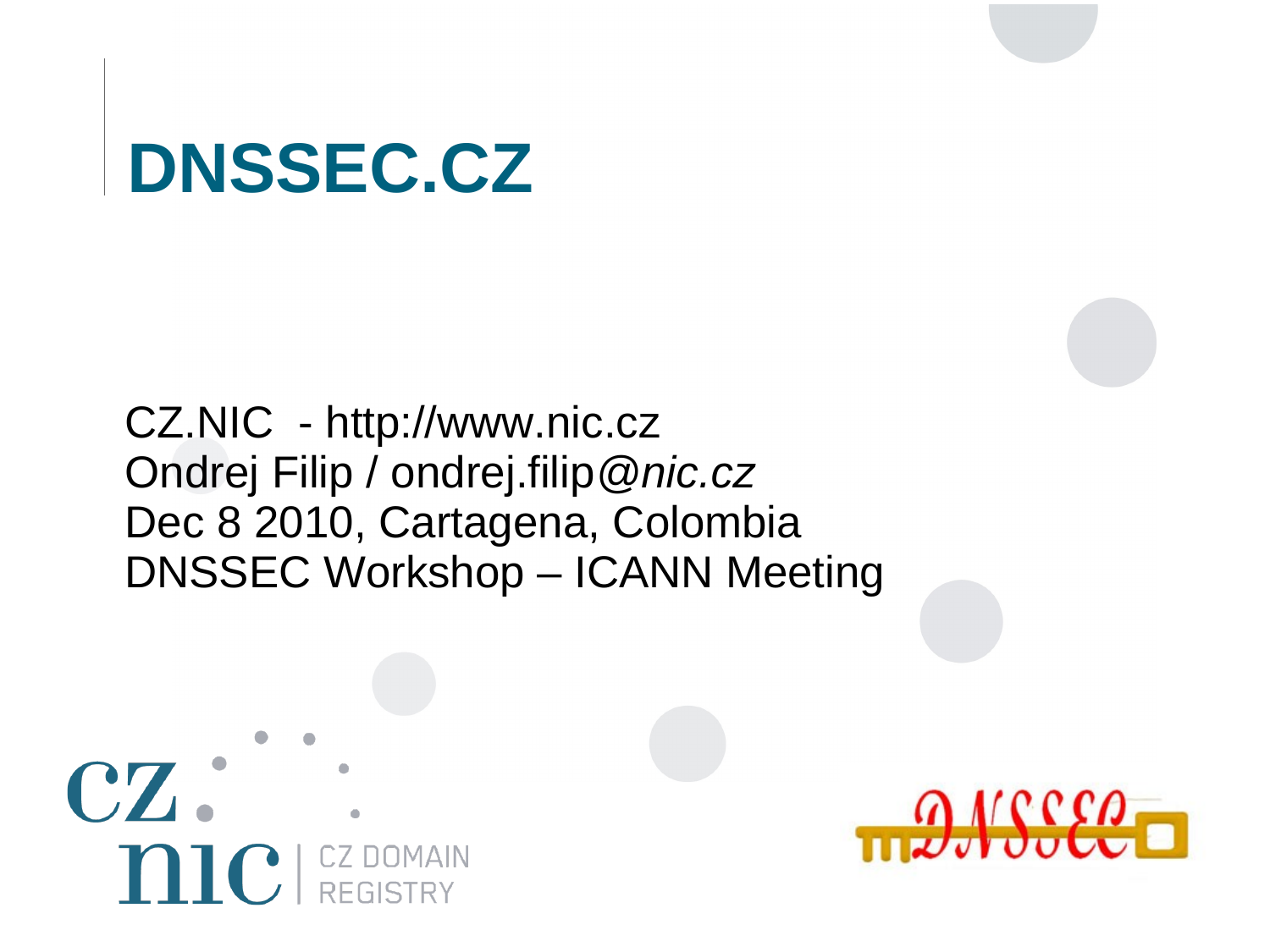#### **DNSSEC.CZ**

#### CZ.NIC - http://www.nic.cz Ondrej Filip / ondrej.filip*@nic.cz* Dec 8 2010, Cartagena, Colombia DNSSEC Workshop – ICANN Meeting



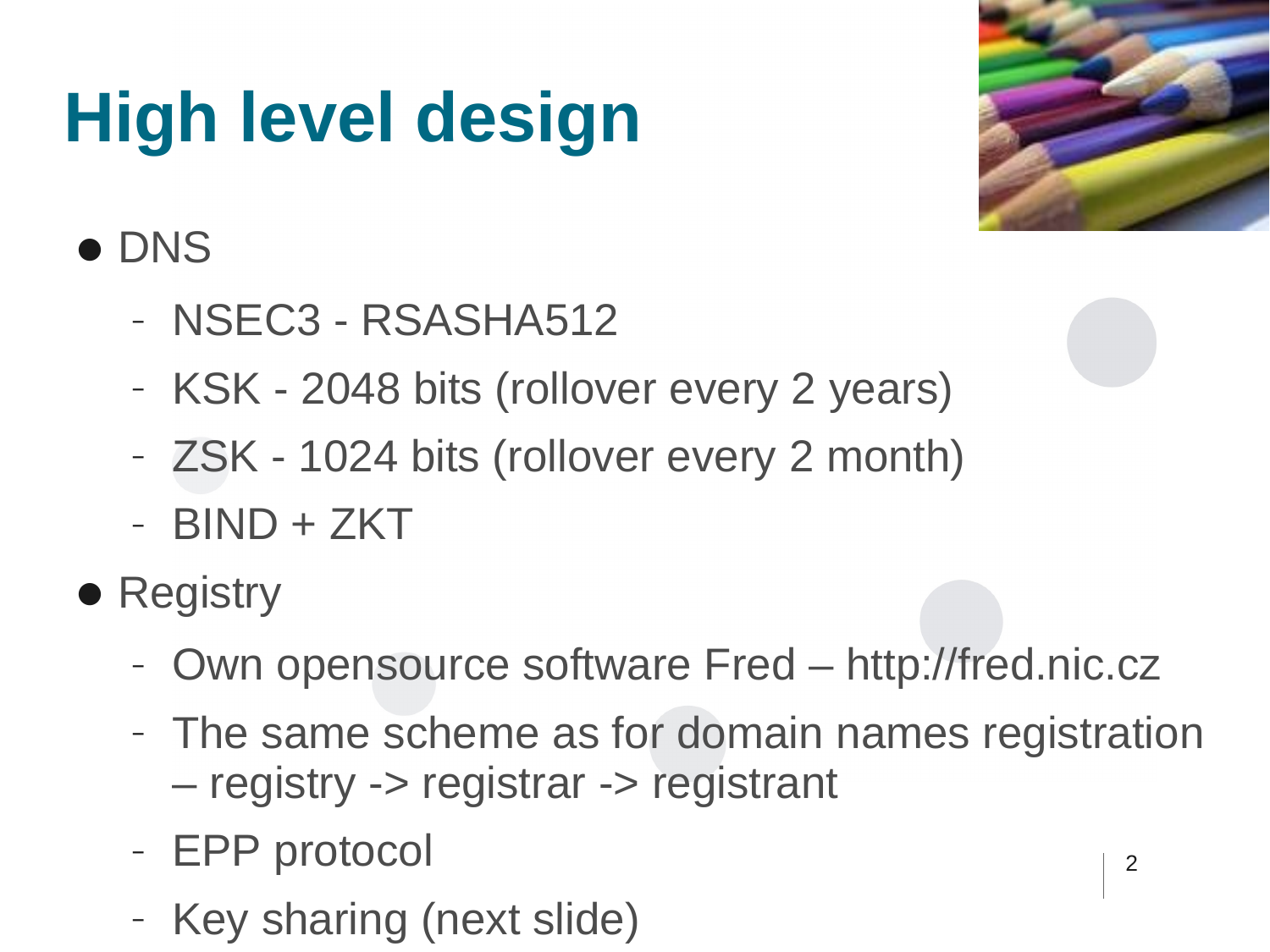# **High level design**



#### ● DNS

- NSEC3 RSASHA512
- KSK 2048 bits (rollover every 2 years)
- ZSK 1024 bits (rollover every 2 month)
- BIND + ZKT
- Registry
	- Own opensource software Fred http://fred.nic.cz
	- The same scheme as for domain names registration – registry -> registrar -> registrant
	- EPP protocol
	- Key sharing (next slide)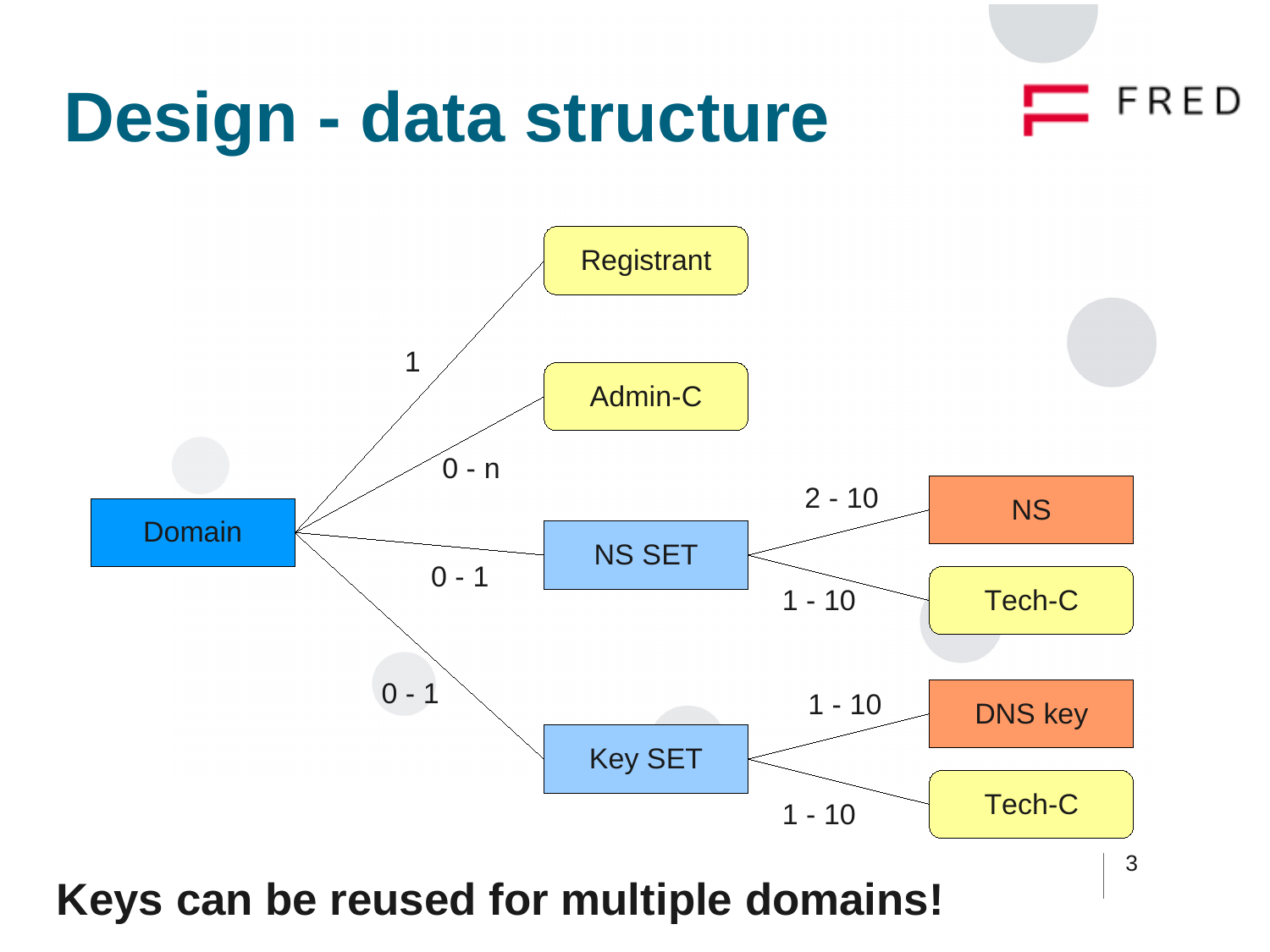#### FRED **Design - data structure**

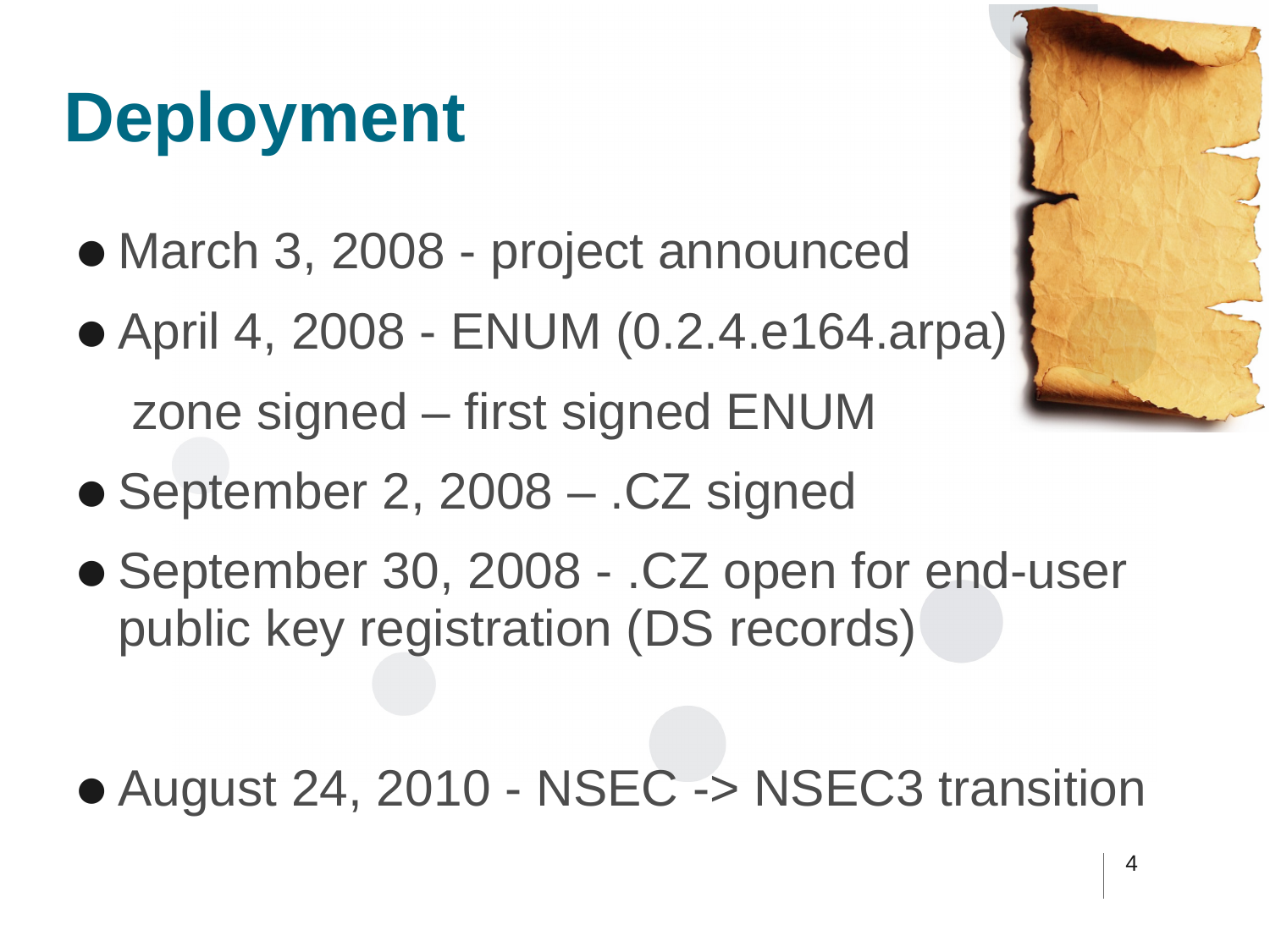# **Deployment**

- March 3, 2008 project announced
- April 4, 2008 ENUM (0.2.4.e164.arpa) zone signed – first signed ENUM
- September 2, 2008 .CZ signed
- September 30, 2008 .CZ open for end-user public key registration (DS records)
- August 24, 2010 NSEC -> NSEC3 transition

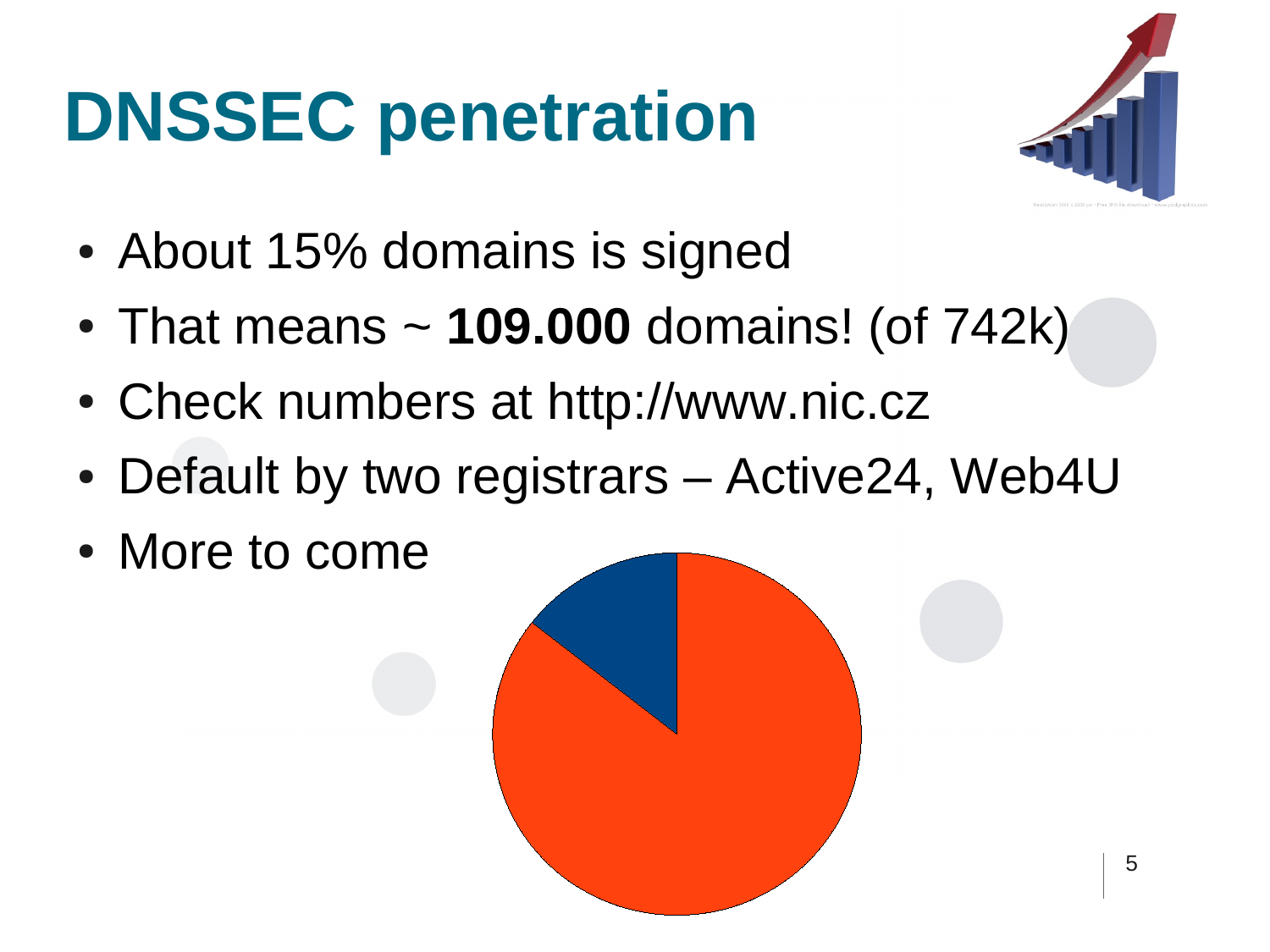## **DNSSEC penetration**



- About 15% domains is signed
- That means  $\sim$  **109.000** domains! (of 742k)
- Check numbers at [http://www.nic.cz](http://www.nic.cz/)
- Default by two registrars Active24, Web4U
- More to come

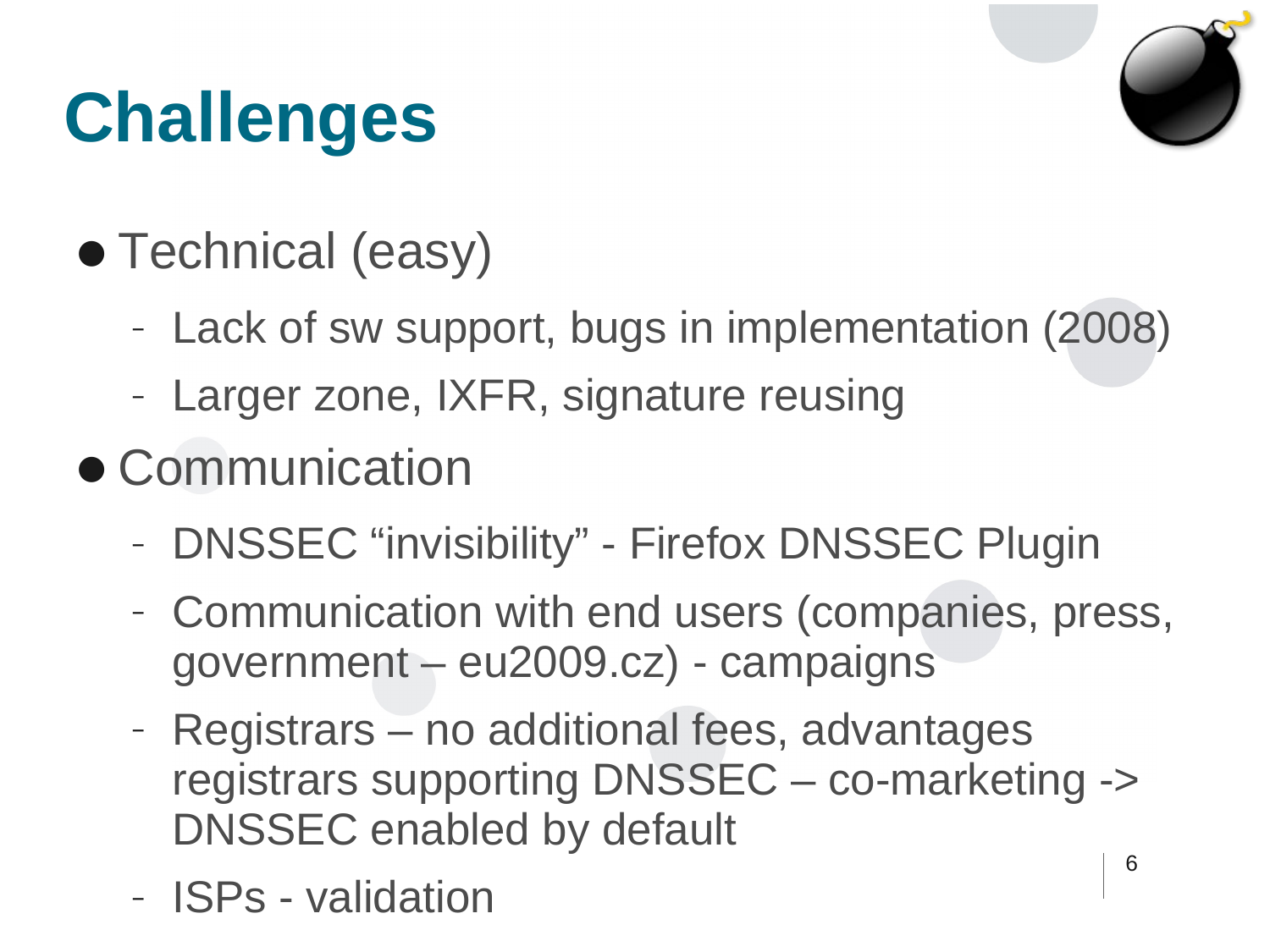# **Challenges**



- Technical (easy)
	- Lack of sw support, bugs in implementation (2008)
	- Larger zone, IXFR, signature reusing
- Communication
	- DNSSEC "invisibility" Firefox DNSSEC Plugin
	- Communication with end users (companies, press, government – eu2009.cz) - campaigns
	- Registrars no additional fees, advantages registrars supporting DNSSEC – co-marketing -> DNSSEC enabled by default
	- ISPs validation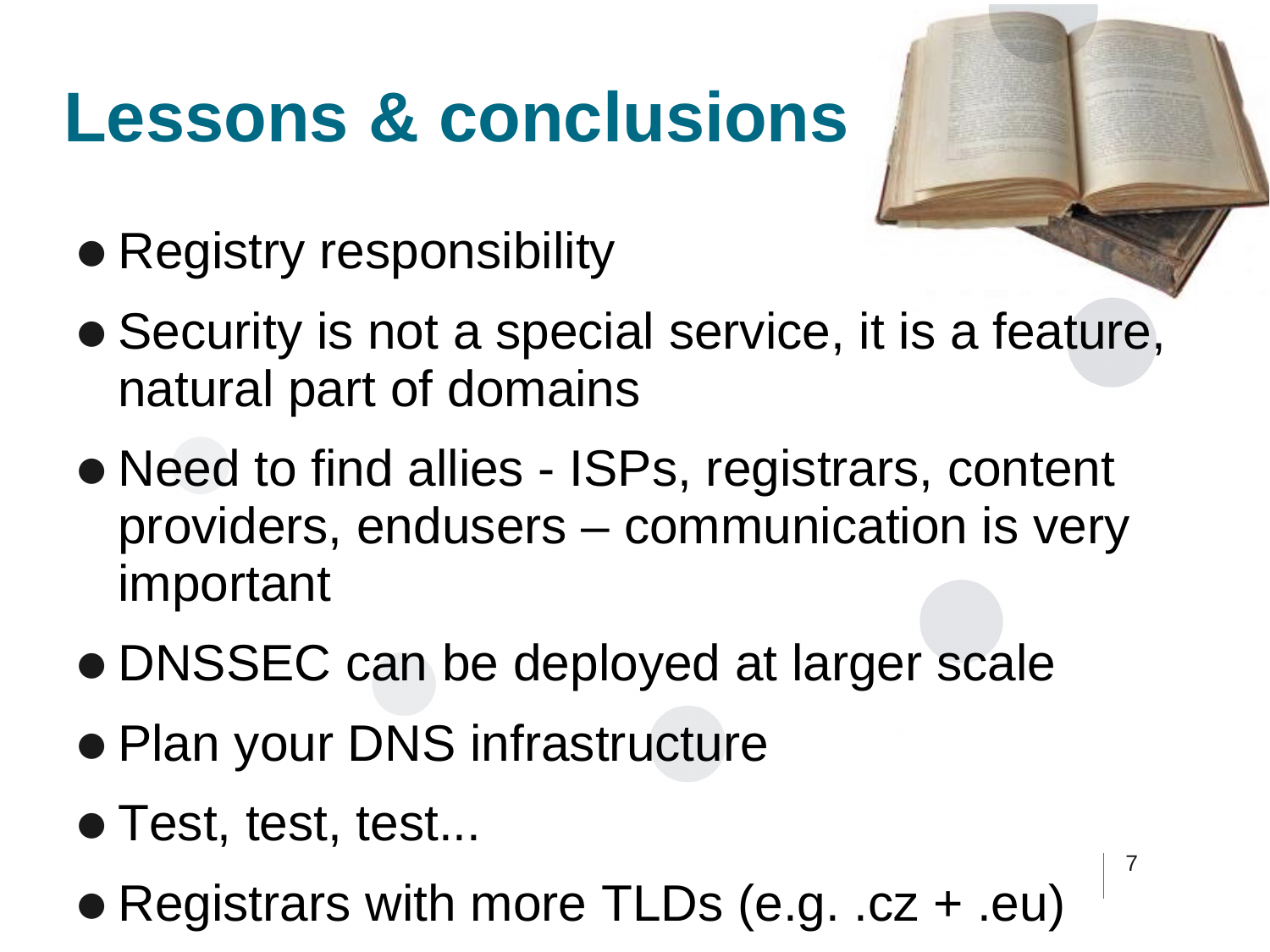## **Lessons & conclusions**

- Registry responsibility
- Security is not a special service, it is a feature, natural part of domains
- Need to find allies ISPs, registrars, content providers, endusers – communication is very important
- DNSSEC can be deployed at larger scale
- Plan your DNS infrastructure
- Test, test, test...
- Registrars with more TLDs (e.g. .cz + .eu)

7